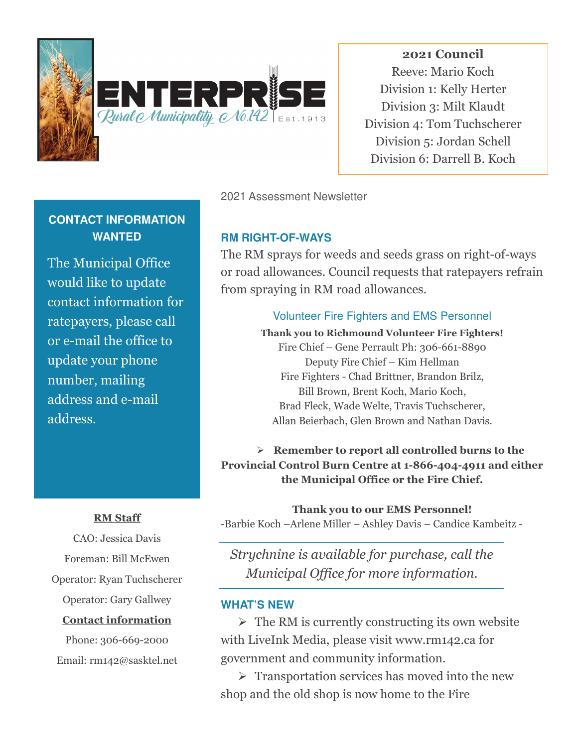

**2021 Council** Reeve: Mario Koch Division 1: Kelly Herter Division 3: Milt Klaudt Division 4: Tom Tuchscherer Division 5: Jordan Schell Division 6: Darrell B. Koch

## 2021 Assessment Newsletter

## **RM RIGHT-OF-WAYS**

The RM sprays for weeds and seeds grass on right-of-ways or road allowances. Council requests that ratepayers refrain from spraying in RM road allowances.

### Volunteer Fire Fighters and EMS Personnel

**Thank you to Richmound Volunteer Fire Fighters!**  Fire Chief – Gene Perrault Ph: 306-661-8890 Deputy Fire Chief – Kim Hellman Fire Fighters - Chad Brittner, Brandon Brilz, Bill Brown, Brent Koch, Mario Koch, Brad Fleck, Wade Welte, Travis Tuchscherer, Allan Beierbach, Glen Brown and Nathan Davis.

## **Remember to report all controlled burns to the Provincial Control Burn Centre at 1-866-404-4911 and either the Municipal Office or the Fire Chief.**

**Thank you to our EMS Personnel!**  -Barbie Koch –Arlene Miller – Ashley Davis – Candice Kambeitz -

*Strychnine is available for purchase, call the Municipal Office for more information.* 

#### **WHAT'S NEW**

 $\triangleright$  The RM is currently constructing its own website with LiveInk Media, please visit www.rm142.ca for government and community information.

 $\triangleright$  Transportation services has moved into the new shop and the old shop is now home to the Fire

# **CONTACT INFORMATION WANTED**

The Municipal Office would like to update contact information for ratepayers, please call or e-mail the office to update your phone number, mailing address and e-mail address.

### **RM Staff**

CAO: Jessica Davis Foreman: Bill McEwen Operator: Ryan Tuchscherer Operator: Gary Gallwey **Contact information**

Phone: 306-669-2000 Email: rm142@sasktel.net